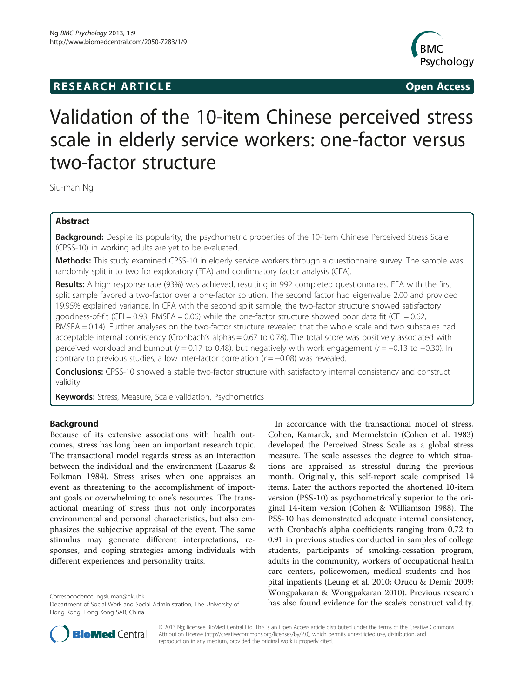## **RESEARCH ARTICLE CONSUMING A RESEARCH ARTICLE**



# Validation of the 10-item Chinese perceived stress scale in elderly service workers: one-factor versus two-factor structure

Siu-man Ng

## Abstract

Background: Despite its popularity, the psychometric properties of the 10-item Chinese Perceived Stress Scale (CPSS-10) in working adults are yet to be evaluated.

Methods: This study examined CPSS-10 in elderly service workers through a questionnaire survey. The sample was randomly split into two for exploratory (EFA) and confirmatory factor analysis (CFA).

Results: A high response rate (93%) was achieved, resulting in 992 completed questionnaires. EFA with the first split sample favored a two-factor over a one-factor solution. The second factor had eigenvalue 2.00 and provided 19.95% explained variance. In CFA with the second split sample, the two-factor structure showed satisfactory goodness-of-fit (CFI = 0.93, RMSEA = 0.06) while the one-factor structure showed poor data fit (CFI = 0.62, RMSEA = 0.14). Further analyses on the two-factor structure revealed that the whole scale and two subscales had acceptable internal consistency (Cronbach's alphas = 0.67 to 0.78). The total score was positively associated with perceived workload and burnout ( $r = 0.17$  to 0.48), but negatively with work engagement ( $r = -0.13$  to  $-0.30$ ). In contrary to previous studies, a low inter-factor correlation ( $r = -0.08$ ) was revealed.

Conclusions: CPSS-10 showed a stable two-factor structure with satisfactory internal consistency and construct validity.

Keywords: Stress, Measure, Scale validation, Psychometrics

## Background

Because of its extensive associations with health outcomes, stress has long been an important research topic. The transactional model regards stress as an interaction between the individual and the environment (Lazarus & Folkman [1984](#page-6-0)). Stress arises when one appraises an event as threatening to the accomplishment of important goals or overwhelming to one's resources. The transactional meaning of stress thus not only incorporates environmental and personal characteristics, but also emphasizes the subjective appraisal of the event. The same stimulus may generate different interpretations, responses, and coping strategies among individuals with different experiences and personality traits.

In accordance with the transactional model of stress, Cohen, Kamarck, and Mermelstein (Cohen et al. [1983](#page-6-0)) developed the Perceived Stress Scale as a global stress measure. The scale assesses the degree to which situations are appraised as stressful during the previous month. Originally, this self-report scale comprised 14 items. Later the authors reported the shortened 10-item version (PSS-10) as psychometrically superior to the original 14-item version (Cohen & Williamson [1988](#page-6-0)). The PSS-10 has demonstrated adequate internal consistency, with Cronbach's alpha coefficients ranging from 0.72 to 0.91 in previous studies conducted in samples of college students, participants of smoking-cessation program, adults in the community, workers of occupational health care centers, policewomen, medical students and hospital inpatients (Leung et al. [2010;](#page-6-0) Orucu & Demir [2009](#page-6-0); Wongpakaran & Wongpakaran [2010](#page-7-0)). Previous research Correspondence: [ngsiuman@hku.hk](mailto:ngsiuman@hku.hk)<br>Department of Social Work and Social Administration, The University of **has also found evidence for the scale's construct validity.** 



© 2013 Ng; licensee BioMed Central Ltd. This is an Open Access article distributed under the terms of the Creative Commons Attribution License (<http://creativecommons.org/licenses/by/2.0>), which permits unrestricted use, distribution, and reproduction in any medium, provided the original work is properly cited.

Department of Social Work and Social Administration, The University of Hong Kong, Hong Kong SAR, China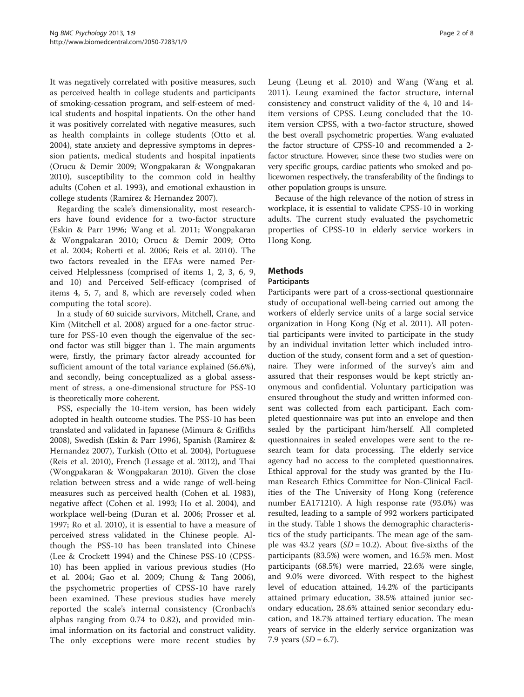It was negatively correlated with positive measures, such as perceived health in college students and participants of smoking-cessation program, and self-esteem of medical students and hospital inpatients. On the other hand it was positively correlated with negative measures, such as health complaints in college students (Otto et al. [2004](#page-6-0)), state anxiety and depressive symptoms in depression patients, medical students and hospital inpatients (Orucu & Demir [2009;](#page-6-0) Wongpakaran & Wongpakaran [2010](#page-7-0)), susceptibility to the common cold in healthy adults (Cohen et al. [1993](#page-6-0)), and emotional exhaustion in college students (Ramirez & Hernandez [2007](#page-6-0)).

Regarding the scale's dimensionality, most researchers have found evidence for a two-factor structure (Eskin & Parr [1996;](#page-6-0) Wang et al. [2011](#page-7-0); Wongpakaran & Wongpakaran [2010;](#page-7-0) Orucu & Demir [2009;](#page-6-0) Otto et al. [2004;](#page-6-0) Roberti et al. [2006](#page-6-0); Reis et al. [2010](#page-6-0)). The two factors revealed in the EFAs were named Perceived Helplessness (comprised of items 1, 2, 3, 6, 9, and 10) and Perceived Self-efficacy (comprised of items 4, 5, 7, and 8, which are reversely coded when computing the total score).

In a study of 60 suicide survivors, Mitchell, Crane, and Kim (Mitchell et al. [2008\)](#page-6-0) argued for a one-factor structure for PSS-10 even though the eigenvalue of the second factor was still bigger than 1. The main arguments were, firstly, the primary factor already accounted for sufficient amount of the total variance explained (56.6%), and secondly, being conceptualized as a global assessment of stress, a one-dimensional structure for PSS-10 is theoretically more coherent.

PSS, especially the 10-item version, has been widely adopted in health outcome studies. The PSS-10 has been translated and validated in Japanese (Mimura & Griffiths [2008](#page-6-0)), Swedish (Eskin & Parr [1996](#page-6-0)), Spanish (Ramirez & Hernandez [2007](#page-6-0)), Turkish (Otto et al. [2004\)](#page-6-0), Portuguese (Reis et al. [2010](#page-6-0)), French (Lessage et al. [2012\)](#page-6-0), and Thai (Wongpakaran & Wongpakaran [2010\)](#page-7-0). Given the close relation between stress and a wide range of well-being measures such as perceived health (Cohen et al. [1983](#page-6-0)), negative affect (Cohen et al. [1993;](#page-6-0) Ho et al. [2004](#page-6-0)), and workplace well-being (Duran et al. [2006](#page-6-0); Prosser et al. [1997](#page-6-0); Ro et al. [2010](#page-6-0)), it is essential to have a measure of perceived stress validated in the Chinese people. Although the PSS-10 has been translated into Chinese (Lee & Crockett [1994](#page-6-0)) and the Chinese PSS-10 (CPSS-10) has been applied in various previous studies (Ho et al. [2004](#page-6-0); Gao et al. [2009;](#page-6-0) Chung & Tang [2006](#page-6-0)), the psychometric properties of CPSS-10 have rarely been examined. These previous studies have merely reported the scale's internal consistency (Cronbach's alphas ranging from 0.74 to 0.82), and provided minimal information on its factorial and construct validity. The only exceptions were more recent studies by Leung (Leung et al. [2010](#page-6-0)) and Wang (Wang et al. [2011\)](#page-7-0). Leung examined the factor structure, internal consistency and construct validity of the 4, 10 and 14 item versions of CPSS. Leung concluded that the 10 item version CPSS, with a two-factor structure, showed the best overall psychometric properties. Wang evaluated the factor structure of CPSS-10 and recommended a 2 factor structure. However, since these two studies were on very specific groups, cardiac patients who smoked and policewomen respectively, the transferability of the findings to other population groups is unsure.

Because of the high relevance of the notion of stress in workplace, it is essential to validate CPSS-10 in working adults. The current study evaluated the psychometric properties of CPSS-10 in elderly service workers in Hong Kong.

## Methods

### Participants

Participants were part of a cross-sectional questionnaire study of occupational well-being carried out among the workers of elderly service units of a large social service organization in Hong Kong (Ng et al. [2011\)](#page-6-0). All potential participants were invited to participate in the study by an individual invitation letter which included introduction of the study, consent form and a set of questionnaire. They were informed of the survey's aim and assured that their responses would be kept strictly anonymous and confidential. Voluntary participation was ensured throughout the study and written informed consent was collected from each participant. Each completed questionnaire was put into an envelope and then sealed by the participant him/herself. All completed questionnaires in sealed envelopes were sent to the research team for data processing. The elderly service agency had no access to the completed questionnaires. Ethical approval for the study was granted by the Human Research Ethics Committee for Non-Clinical Facilities of the The University of Hong Kong (reference number EA171210). A high response rate (93.0%) was resulted, leading to a sample of 992 workers participated in the study. Table [1](#page-2-0) shows the demographic characteristics of the study participants. The mean age of the sample was 43.2 years  $(SD = 10.2)$ . About five-sixths of the participants (83.5%) were women, and 16.5% men. Most participants (68.5%) were married, 22.6% were single, and 9.0% were divorced. With respect to the highest level of education attained, 14.2% of the participants attained primary education, 38.5% attained junior secondary education, 28.6% attained senior secondary education, and 18.7% attained tertiary education. The mean years of service in the elderly service organization was 7.9 years  $(SD = 6.7)$ .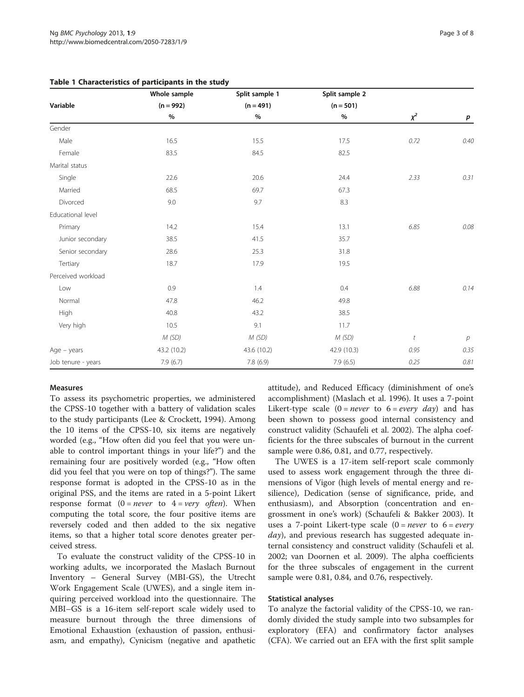|                    | Whole sample | Split sample 1 | Split sample 2 |         |                |
|--------------------|--------------|----------------|----------------|---------|----------------|
| Variable           | $(n = 992)$  | $(n = 491)$    | $(n = 501)$    |         |                |
|                    | $\%$         | $\%$           | $\%$           | $x^2$   | p              |
| Gender             |              |                |                |         |                |
| Male               | 16.5         | 15.5           | 17.5           | 0.72    | 0.40           |
| Female             | 83.5         | 84.5           | 82.5           |         |                |
| Marital status     |              |                |                |         |                |
| Single             | 22.6         | 20.6           | 24.4           | 2.33    | 0.31           |
| Married            | 68.5         | 69.7           | 67.3           |         |                |
| Divorced           | 9.0          | 9.7            | 8.3            |         |                |
| Educational level  |              |                |                |         |                |
| Primary            | 14.2         | 15.4           | 13.1           | 6.85    | 0.08           |
| Junior secondary   | 38.5         | 41.5           | 35.7           |         |                |
| Senior secondary   | 28.6         | 25.3           | 31.8           |         |                |
| Tertiary           | 18.7         | 17.9           | 19.5           |         |                |
| Perceived workload |              |                |                |         |                |
| Low                | 0.9          | 1.4            | 0.4            | 6.88    | 0.14           |
| Normal             | 47.8         | 46.2           | 49.8           |         |                |
| High               | 40.8         | 43.2           | 38.5           |         |                |
| Very high          | 10.5         | 9.1            | 11.7           |         |                |
|                    | M(SD)        | M(SD)          | M(SD)          | $\it t$ | $\overline{p}$ |
| $Age - years$      | 43.2 (10.2)  | 43.6 (10.2)    | 42.9 (10.3)    | 0.95    | 0.35           |
| Job tenure - years | 7.9(6.7)     | 7.8 (6.9)      | 7.9(6.5)       | 0.25    | 0.81           |

### <span id="page-2-0"></span>Table 1 Characteristics of participants in the study

#### Measures

To assess its psychometric properties, we administered the CPSS-10 together with a battery of validation scales to the study participants (Lee & Crockett, [1994\)](#page-6-0). Among the 10 items of the CPSS-10, six items are negatively worded (e.g., "How often did you feel that you were unable to control important things in your life?") and the remaining four are positively worded (e.g., "How often did you feel that you were on top of things?"). The same response format is adopted in the CPSS-10 as in the original PSS, and the items are rated in a 5-point Likert response format  $(0 = never to 4 = very often)$ . When computing the total score, the four positive items are reversely coded and then added to the six negative items, so that a higher total score denotes greater perceived stress.

To evaluate the construct validity of the CPSS-10 in working adults, we incorporated the Maslach Burnout Inventory – General Survey (MBI-GS), the Utrecht Work Engagement Scale (UWES), and a single item inquiring perceived workload into the questionnaire. The MBI–GS is a 16-item self-report scale widely used to measure burnout through the three dimensions of Emotional Exhaustion (exhaustion of passion, enthusiasm, and empathy), Cynicism (negative and apathetic attitude), and Reduced Efficacy (diminishment of one's accomplishment) (Maslach et al. [1996\)](#page-6-0). It uses a 7-point Likert-type scale  $(0 = never to 6 = every day)$  and has been shown to possess good internal consistency and construct validity (Schaufeli et al. [2002](#page-6-0)). The alpha coefficients for the three subscales of burnout in the current sample were 0.86, 0.81, and 0.77, respectively.

The UWES is a 17-item self-report scale commonly used to assess work engagement through the three dimensions of Vigor (high levels of mental energy and resilience), Dedication (sense of significance, pride, and enthusiasm), and Absorption (concentration and engrossment in one's work) (Schaufeli & Bakker [2003\)](#page-6-0). It uses a 7-point Likert-type scale  $(0 = never to 6 = every$ *day*), and previous research has suggested adequate internal consistency and construct validity (Schaufeli et al. [2002](#page-6-0); van Doornen et al. [2009\)](#page-7-0). The alpha coefficients for the three subscales of engagement in the current sample were 0.81, 0.84, and 0.76, respectively.

#### Statistical analyses

To analyze the factorial validity of the CPSS-10, we randomly divided the study sample into two subsamples for exploratory (EFA) and confirmatory factor analyses (CFA). We carried out an EFA with the first split sample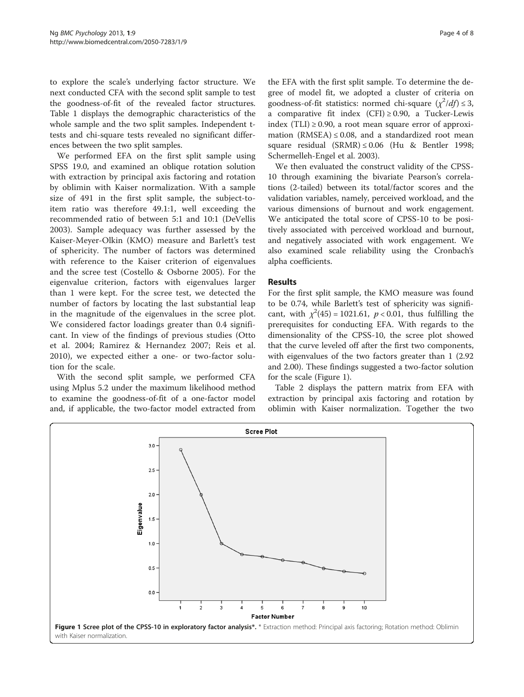to explore the scale's underlying factor structure. We next conducted CFA with the second split sample to test the goodness-of-fit of the revealed factor structures. Table [1](#page-2-0) displays the demographic characteristics of the whole sample and the two split samples. Independent ttests and chi-square tests revealed no significant differences between the two split samples.

We performed EFA on the first split sample using SPSS 19.0, and examined an oblique rotation solution with extraction by principal axis factoring and rotation by oblimin with Kaiser normalization. With a sample size of 491 in the first split sample, the subject-toitem ratio was therefore 49.1:1, well exceeding the recommended ratio of between 5:1 and 10:1 (DeVellis [2003\)](#page-6-0). Sample adequacy was further assessed by the Kaiser-Meyer-Olkin (KMO) measure and Barlett's test of sphericity. The number of factors was determined with reference to the Kaiser criterion of eigenvalues and the scree test (Costello & Osborne [2005\)](#page-6-0). For the eigenvalue criterion, factors with eigenvalues larger than 1 were kept. For the scree test, we detected the number of factors by locating the last substantial leap in the magnitude of the eigenvalues in the scree plot. We considered factor loadings greater than 0.4 significant. In view of the findings of previous studies (Otto et al. [2004](#page-6-0); Ramirez & Hernandez [2007](#page-6-0); Reis et al. [2010\)](#page-6-0), we expected either a one- or two-factor solution for the scale.

With the second split sample, we performed CFA using Mplus 5.2 under the maximum likelihood method to examine the goodness-of-fit of a one-factor model and, if applicable, the two-factor model extracted from

the EFA with the first split sample. To determine the degree of model fit, we adopted a cluster of criteria on goodness-of-fit statistics: normed chi-square  $(\chi^2/df) \leq 3$ , a comparative fit index  $(CFI) \ge 0.90$ , a Tucker-Lewis index (TLI)  $\geq$  0.90, a root mean square error of approximation (RMSEA)  $\leq$  0.08, and a standardized root mean square residual (SRMR) ≤ 0.06 (Hu & Bentler [1998](#page-6-0); Schermelleh-Engel et al. [2003](#page-7-0)).

We then evaluated the construct validity of the CPSS-10 through examining the bivariate Pearson's correlations (2-tailed) between its total/factor scores and the validation variables, namely, perceived workload, and the various dimensions of burnout and work engagement. We anticipated the total score of CPSS-10 to be positively associated with perceived workload and burnout, and negatively associated with work engagement. We also examined scale reliability using the Cronbach's alpha coefficients.

## Results

For the first split sample, the KMO measure was found to be 0.74, while Barlett's test of sphericity was significant, with  $\chi^2(45) = 1021.61$ ,  $p < 0.01$ , thus fulfilling the prerequisites for conducting EFA. With regards to the dimensionality of the CPSS-10, the scree plot showed that the curve leveled off after the first two components, with eigenvalues of the two factors greater than 1 (2.92 and 2.00). These findings suggested a two-factor solution for the scale (Figure 1).

Table [2](#page-4-0) displays the pattern matrix from EFA with extraction by principal axis factoring and rotation by oblimin with Kaiser normalization. Together the two

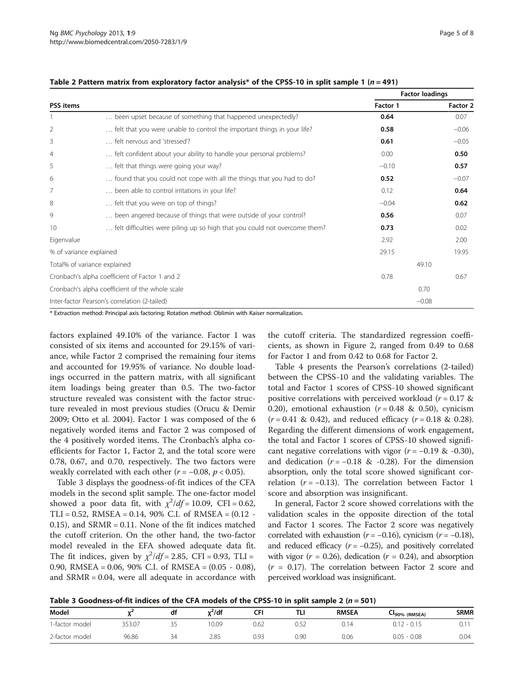|                         |                                                                            |          | <b>Factor loadings</b> |
|-------------------------|----------------------------------------------------------------------------|----------|------------------------|
| <b>PSS</b> items        |                                                                            | Factor 1 | Factor 2               |
|                         | been upset because of something that happened unexpectedly?                | 0.64     | 0.07                   |
| 2                       | felt that you were unable to control the important things in your life?    | 0.58     | $-0.06$                |
| 3                       | felt nervous and 'stressed'?                                               | 0.61     | $-0.05$                |
| 4                       | felt confident about your ability to handle your personal problems?        | 0.00     | 0.50                   |
| 5                       | felt that things were going your way?                                      | $-0.10$  | 0.57                   |
| 6                       | found that you could not cope with all the things that you had to do?      | 0.52     | $-0.07$                |
| 7                       | been able to control irritations in your life?                             | 0.12     | 0.64                   |
| 8                       | felt that you were on top of things?                                       | $-0.04$  | 0.62                   |
| 9                       | been angered because of things that were outside of your control?          | 0.56     | 0.07                   |
| 10                      | felt difficulties were piling up so high that you could not overcome them? | 0.73     | 0.02                   |
| Eigenvalue              |                                                                            | 2.92     | 2.00                   |
| % of variance explained |                                                                            | 29.15    | 19.95                  |
|                         | Total% of variance explained                                               |          | 49.10                  |
|                         | Cronbach's alpha coefficient of Factor 1 and 2                             | 0.78     | 0.67                   |

Cronbach's alpha coefficient of the whole scale 0.70 Inter-factor Pearson's correlation (2-tailed) −0.08

<span id="page-4-0"></span>

| Table 2 Pattern matrix from exploratory factor analysis* of the CPSS-10 in split sample 1 ( $n = 491$ ) |  |  |
|---------------------------------------------------------------------------------------------------------|--|--|
|---------------------------------------------------------------------------------------------------------|--|--|

\* Extraction method: Principal axis factoring; Rotation method: Oblimin with Kaiser normalization.

factors explained 49.10% of the variance. Factor 1 was consisted of six items and accounted for 29.15% of variance, while Factor 2 comprised the remaining four items and accounted for 19.95% of variance. No double loadings occurred in the pattern matrix, with all significant item loadings being greater than 0.5. The two-factor structure revealed was consistent with the factor structure revealed in most previous studies (Orucu & Demir [2009](#page-6-0); Otto et al. [2004\)](#page-6-0). Factor 1 was composed of the 6 negatively worded items and Factor 2 was composed of the 4 positively worded items. The Cronbach's alpha coefficients for Factor 1, Factor 2, and the total score were 0.78, 0.67, and 0.70, respectively. The two factors were weakly correlated with each other ( $r = -0.08$ ,  $p < 0.05$ ).

Table 3 displays the goodness-of-fit indices of the CFA models in the second split sample. The one-factor model showed a poor data fit, with  $\chi^2/df = 10.09$ , CFI = 0.62, TLI = 0.52, RMSEA = 0.14, 90% C.I. of RMSEA =  $(0.12 - 1.14)$  $(0.15)$ , and SRMR = 0.11. None of the fit indices matched the cutoff criterion. On the other hand, the two-factor model revealed in the EFA showed adequate data fit. The fit indices, given by  $\chi^2/df = 2.85$ , CFI = 0.93, TLI = 0.90, RMSEA = 0.06, 90% C.I. of RMSEA = (0.05 - 0.08), and  $SRMR = 0.04$ , were all adequate in accordance with

the cutoff criteria. The standardized regression coefficients, as shown in Figure [2,](#page-5-0) ranged from 0.49 to 0.68 for Factor 1 and from 0.42 to 0.68 for Factor 2.

Table [4](#page-5-0) presents the Pearson's correlations (2-tailed) between the CPSS-10 and the validating variables. The total and Factor 1 scores of CPSS-10 showed significant positive correlations with perceived workload ( $r = 0.17$  & 0.20), emotional exhaustion ( $r = 0.48$  & 0.50), cynicism  $(r = 0.41 \& 0.42)$ , and reduced efficacy  $(r = 0.18 \& 0.28)$ . Regarding the different dimensions of work engagement, the total and Factor 1 scores of CPSS-10 showed significant negative correlations with vigor  $(r = -0.19 \& -0.30)$ , and dedication ( $r = -0.18$  & -0.28). For the dimension absorption, only the total score showed significant correlation ( $r = -0.13$ ). The correlation between Factor 1 score and absorption was insignificant.

In general, Factor 2 score showed correlations with the validation scales in the opposite direction of the total and Factor 1 scores. The Factor 2 score was negatively correlated with exhaustion ( $r = -0.16$ ), cynicism ( $r = -0.18$ ), and reduced efficacy  $(r = -0.25)$ , and positively correlated with vigor ( $r = 0.26$ ), dedication ( $r = 0.24$ ), and absorption  $(r = 0.17)$ . The correlation between Factor 2 score and perceived workload was insignificant.

| Model          |        | df      | $x^2$ /df | CFI  | TLI          | <b>RMSEA</b>              | └╹90% (RMSEA)       | <b>SRMR</b> |
|----------------|--------|---------|-----------|------|--------------|---------------------------|---------------------|-------------|
| 1-factor model | 353.07 | --      | 10.09     | 0.62 | $ -$<br>0.52 | - 14<br>$\cup$ . $\vdots$ | <sup>0</sup> - 0.15 | v. i        |
| 2-factor model | 96.86  | ≺⊿<br>້ | 2.85      | 0.93 | 0.90         | 0.06                      | $0.05 - 0.08$       | 0.04        |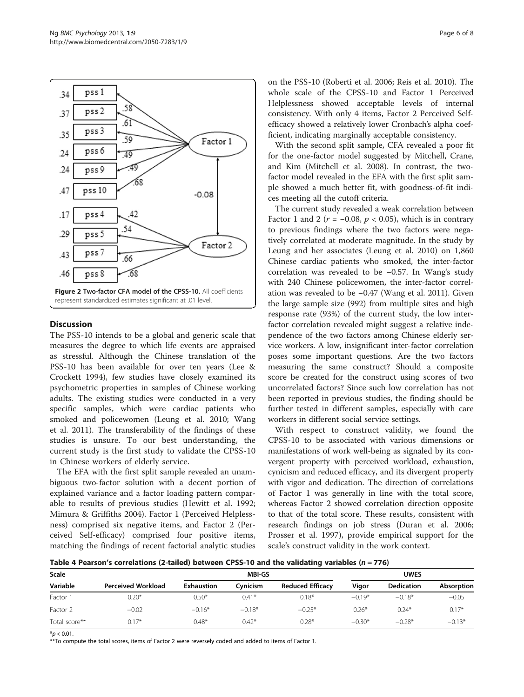<span id="page-5-0"></span>

### **Discussion**

The PSS-10 intends to be a global and generic scale that measures the degree to which life events are appraised as stressful. Although the Chinese translation of the PSS-10 has been available for over ten years (Lee & Crockett [1994](#page-6-0)), few studies have closely examined its psychometric properties in samples of Chinese working adults. The existing studies were conducted in a very specific samples, which were cardiac patients who smoked and policewomen (Leung et al. [2010;](#page-6-0) Wang et al. [2011](#page-7-0)). The transferability of the findings of these studies is unsure. To our best understanding, the current study is the first study to validate the CPSS-10 in Chinese workers of elderly service.

The EFA with the first split sample revealed an unambiguous two-factor solution with a decent portion of explained variance and a factor loading pattern comparable to results of previous studies (Hewitt et al. [1992](#page-6-0); Mimura & Griffiths [2004\)](#page-6-0). Factor 1 (Perceived Helplessness) comprised six negative items, and Factor 2 (Perceived Self-efficacy) comprised four positive items, matching the findings of recent factorial analytic studies on the PSS-10 (Roberti et al. [2006;](#page-6-0) Reis et al. [2010\)](#page-6-0). The whole scale of the CPSS-10 and Factor 1 Perceived Helplessness showed acceptable levels of internal consistency. With only 4 items, Factor 2 Perceived Selfefficacy showed a relatively lower Cronbach's alpha coefficient, indicating marginally acceptable consistency.

With the second split sample, CFA revealed a poor fit for the one-factor model suggested by Mitchell, Crane, and Kim (Mitchell et al. [2008\)](#page-6-0). In contrast, the twofactor model revealed in the EFA with the first split sample showed a much better fit, with goodness-of-fit indices meeting all the cutoff criteria.

The current study revealed a weak correlation between Factor 1 and 2 ( $r = -0.08$ ,  $p < 0.05$ ), which is in contrary to previous findings where the two factors were negatively correlated at moderate magnitude. In the study by Leung and her associates (Leung et al. [2010](#page-6-0)) on 1,860 Chinese cardiac patients who smoked, the inter-factor correlation was revealed to be −0.57. In Wang's study with 240 Chinese policewomen, the inter-factor correlation was revealed to be −0.47 (Wang et al. [2011](#page-7-0)). Given the large sample size (992) from multiple sites and high response rate (93%) of the current study, the low interfactor correlation revealed might suggest a relative independence of the two factors among Chinese elderly service workers. A low, insignificant inter-factor correlation poses some important questions. Are the two factors measuring the same construct? Should a composite score be created for the construct using scores of two uncorrelated factors? Since such low correlation has not been reported in previous studies, the finding should be further tested in different samples, especially with care workers in different social service settings.

With respect to construct validity, we found the CPSS-10 to be associated with various dimensions or manifestations of work well-being as signaled by its convergent property with perceived workload, exhaustion, cynicism and reduced efficacy, and its divergent property with vigor and dedication. The direction of correlations of Factor 1 was generally in line with the total score, whereas Factor 2 showed correlation direction opposite to that of the total score. These results, consistent with research findings on job stress (Duran et al. [2006](#page-6-0); Prosser et al. [1997](#page-6-0)), provide empirical support for the scale's construct validity in the work context.

Table 4 Pearson's correlations (2-tailed) between CPSS-10 and the validating variables ( $n = 776$ )

| Scale         |                           | <b>MBI-GS</b>     |          |                         | <b>UWES</b> |                   |                   |
|---------------|---------------------------|-------------------|----------|-------------------------|-------------|-------------------|-------------------|
| Variable      | <b>Perceived Workload</b> | <b>Exhaustion</b> | Cvnicism | <b>Reduced Efficacy</b> | Vigor       | <b>Dedication</b> | <b>Absorption</b> |
| Factor 1      | $0.20*$                   | $0.50*$           | $0.41*$  | $0.18*$                 | $-0.19*$    | $-0.18*$          | $-0.05$           |
| Factor 2      | $-0.02$                   | $-0.16*$          | $-0.18*$ | $-0.25*$                | $0.26*$     | $0.24*$           | $0.17*$           |
| Total score** | $0.17*$                   | $0.48*$           | $0.42*$  | $0.28*$                 | $-0.30*$    | $-0.28*$          | $-0.13*$          |

 $*$ *p* < 0.01.

\*\*To compute the total scores, items of Factor 2 were reversely coded and added to items of Factor 1.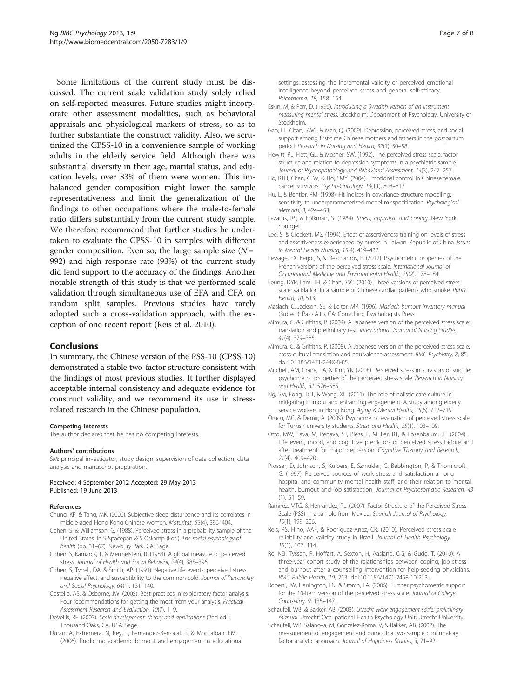<span id="page-6-0"></span>Some limitations of the current study must be discussed. The current scale validation study solely relied on self-reported measures. Future studies might incorporate other assessment modalities, such as behavioral appraisals and physiological markers of stress, so as to further substantiate the construct validity. Also, we scrutinized the CPSS-10 in a convenience sample of working adults in the elderly service field. Although there was substantial diversity in their age, marital status, and education levels, over 83% of them were women. This imbalanced gender composition might lower the sample representativeness and limit the generalization of the findings to other occupations where the male-to-female ratio differs substantially from the current study sample. We therefore recommend that further studies be undertaken to evaluate the CPSS-10 in samples with different gender composition. Even so, the large sample size  $(N =$ 992) and high response rate (93%) of the current study did lend support to the accuracy of the findings. Another notable strength of this study is that we performed scale validation through simultaneous use of EFA and CFA on random split samples. Previous studies have rarely adopted such a cross-validation approach, with the exception of one recent report (Reis et al. 2010).

#### Conclusions

In summary, the Chinese version of the PSS-10 (CPSS-10) demonstrated a stable two-factor structure consistent with the findings of most previous studies. It further displayed acceptable internal consistency and adequate evidence for construct validity, and we recommend its use in stressrelated research in the Chinese population.

#### Competing interests

The author declares that he has no competing interests.

#### Authors' contributions

SM: principal investigator, study design, supervision of data collection, data analysis and manuscript preparation.

#### Received: 4 September 2012 Accepted: 29 May 2013 Published: 19 June 2013

#### References

- Chung, KF, & Tang, MK. (2006). Subjective sleep disturbance and its correlates in middle-aged Hong Kong Chinese women. Maturitas, 53(4), 396–404.
- Cohen, S, & Williamson, G. (1988). Perceived stress in a probability sample of the United States. In S Spacepan & S Oskamp (Eds.), The social psychology of health (pp. 31–67). Newbury Park, CA: Sage.
- Cohen, S, Kamarck, T, & Mermelstein, R. (1983). A global measure of perceived stress. Journal of Health and Social Behavior, 24(4), 385–396.
- Cohen, S, Tyrrell, DA, & Smith, AP. (1993). Negative life events, perceived stress, negative affect, and susceptibility to the common cold. Journal of Personality and Social Psychology, 64(1), 131–140.
- Costello, AB, & Osborne, JW. (2005). Best practices in exploratory factor analysis: Four recommendations for getting the most from your analysis. Practical Assessment Research and Evaluation, 10(7), 1–9.
- DeVellis, RF. (2003). Scale development: theory and applications (2nd ed.). Thousand Oaks, CA, USA: Sage.
- Duran, A, Extremera, N, Rey, L, Fernandez-Berrocal, P, & Montalban, FM. (2006). Predicting academic burnout and engagement in educational
- Psicothema, 18, 158–164. Eskin, M, & Parr, D. (1996). Introducing a Swedish version of an instrument measuring mental stress. Stockholm: Department of Psychology, University of **Stockholm**
- Gao, LL, Chan, SWC, & Mao, Q. (2009). Depression, perceived stress, and social support among first-time Chinese mothers and fathers in the postpartum period. Research in Nursing and Health, 32(1), 50–58.
- Hewitt, PL, Flett, GL, & Mosher, SW. (1992). The perceived stress scale: factor structure and relation to depression symptoms in a psychiatric sample. Journal of Psychopathology and Behavioral Assessment, 14(3), 247–257.
- Ho, RTH, Chan, CLW, & Ho, SMY. (2004). Emotional control in Chinese female cancer survivors. Psycho-Oncology, 13(11), 808–817.
- Hu, L, & Bentler, PM. (1998). Fit indices in covariance structure modelling: sensitivity to underpararmeterized model misspecification. Psychological Methods, 3, 424–453.
- Lazarus, RS, & Folkman, S. (1984). Stress, appraisal and coping. New York: Springer.
- Lee, S, & Crockett, MS. (1994). Effect of assertiveness training on levels of stress and assertiveness experienced by nurses in Taiwan, Republic of China. Issues in Mental Health Nursing, 15(4), 419–432.
- Lessage, FX, Berjot, S, & Deschamps, F. (2012). Psychometric properties of the French versions of the perceived stress scale. International Journal of Occupational Medicine and Environmental Health, 25(2), 178–184.
- Leung, DYP, Lam, TH, & Chan, SSC. (2010). Three versions of perceived stress scale: validation in a sample of Chinese cardiac patients who smoke. Public Health, 10, 513.
- Maslach, C, Jackson, SE, & Leiter, MP. (1996). Maslach burnout inventory manual (3rd ed.). Palo Alto, CA: Consulting Psychologists Press.
- Mimura, C, & Griffiths, P. (2004). A Japanese version of the perceived stress scale: translation and preliminary test. International Journal of Nursing Studies, 41(4), 379–385.
- Mimura, C, & Griffiths, P. (2008). A Japanese version of the perceived stress scale: cross-cultural translation and equivalence assessment. BMC Psychiatry, 8, 85. doi[:10.1186/1471-244X-8-85](http://dx.doi.org/10.1186/1471-244X-8-85).
- Mitchell, AM, Crane, PA, & Kim, YK. (2008). Perceived stress in survivors of suicide: psychometric properties of the perceived stress scale. Research in Nursing and Health, 31, 576–585.
- Ng, SM, Fong, TCT, & Wang, XL. (2011). The role of holistic care culture in mitigating burnout and enhancing engagement: A study among elderly service workers in Hong Kong. Aging & Mental Health, 15(6), 712–719.
- Orucu, MC, & Demir, A. (2009). Psychometric evaluation of perceived stress scale for Turkish university students. Stress and Health, 25(1), 103–109.
- Otto, MW, Fava, M, Penava, SJ, Bless, E, Muller, RT, & Rosenbaum, JF. (2004). Life event, mood, and cognitive predictors of perceived stress before and after treatment for major depression. Cognitive Therapy and Research, 21(4), 409–420.
- Prosser, D, Johnson, S, Kuipers, E, Szmukler, G, Bebbington, P, & Thornicroft, G. (1997). Perceived sources of work stress and satisfaction among hospital and community mental health staff, and their relation to mental health, burnout and job satisfaction. Journal of Psychosomatic Research, 43  $(1)$ , 51–59
- Ramirez, MTG, & Hernandez, RL. (2007). Factor Structure of the Perceived Stress Scale (PSS) in a sample from Mexico. Spanish Journal of Psychology, 10(1), 199–206.
- Reis, RS, Hino, AAF, & Rodriguez-Anez, CR. (2010). Perceived stress scale reliability and validity study in Brazil. Journal of Health Psychology, 15(1), 107–114.
- Ro, KEI, Tyssen, R, Hoffart, A, Sexton, H, Aasland, OG, & Gude, T. (2010). A three-year cohort study of the relationships between coping, job stress and burnout after a counselling intervention for help-seeking physicians. BMC Public Health, 10, 213. doi:[10.1186/1471-2458-10-213](http://dx.doi.org/10.1186/1471-2458-10-213).
- Roberti, JW, Harrington, LN, & Storch, EA. (2006). Further psychometric support for the 10-item version of the perceived stress scale. Journal of College Counseling, 9, 135–147.
- Schaufeli, WB, & Bakker, AB. (2003). Utrecht work engagement scale: preliminary manual. Utrecht: Occupational Health Psychology Unit, Utrecht University.
- Schaufeli, WB, Salanova, M, Gonzalez-Roma, V, & Bakker, AB. (2002). The measurement of engagement and burnout: a two sample confirmatory factor analytic approach. Journal of Happiness Studies, 3, 71–92.